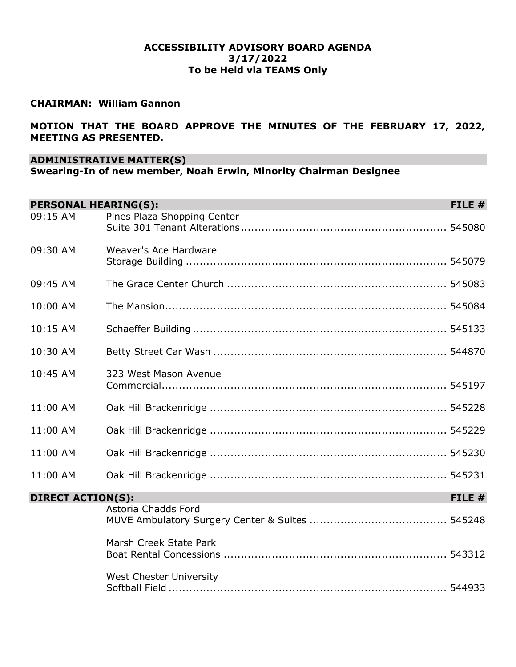## **ACCESSIBILITY ADVISORY BOARD AGENDA 3/17/2022 To be Held via TEAMS Only**

## **CHAIRMAN: William Gannon**

# **MOTION THAT THE BOARD APPROVE THE MINUTES OF THE FEBRUARY 17, 2022, MEETING AS PRESENTED.**

#### **ADMINISTRATIVE MATTER(S)**

**Swearing-In of new member, Noah Erwin, Minority Chairman Designee**

| <b>PERSONAL HEARING(S):</b>        |                                | FILE $#$ |
|------------------------------------|--------------------------------|----------|
| 09:15 AM                           | Pines Plaza Shopping Center    |          |
| 09:30 AM                           | Weaver's Ace Hardware          |          |
| 09:45 AM                           |                                |          |
| 10:00 AM                           |                                |          |
| 10:15 AM                           |                                |          |
| 10:30 AM                           |                                |          |
| 10:45 AM                           | 323 West Mason Avenue          |          |
| 11:00 AM                           |                                |          |
| 11:00 AM                           |                                |          |
| 11:00 AM                           |                                |          |
| 11:00 AM                           |                                |          |
| <b>DIRECT ACTION(S):</b><br>FILE # |                                |          |
|                                    | Astoria Chadds Ford            |          |
|                                    | Marsh Creek State Park         |          |
|                                    | <b>West Chester University</b> |          |